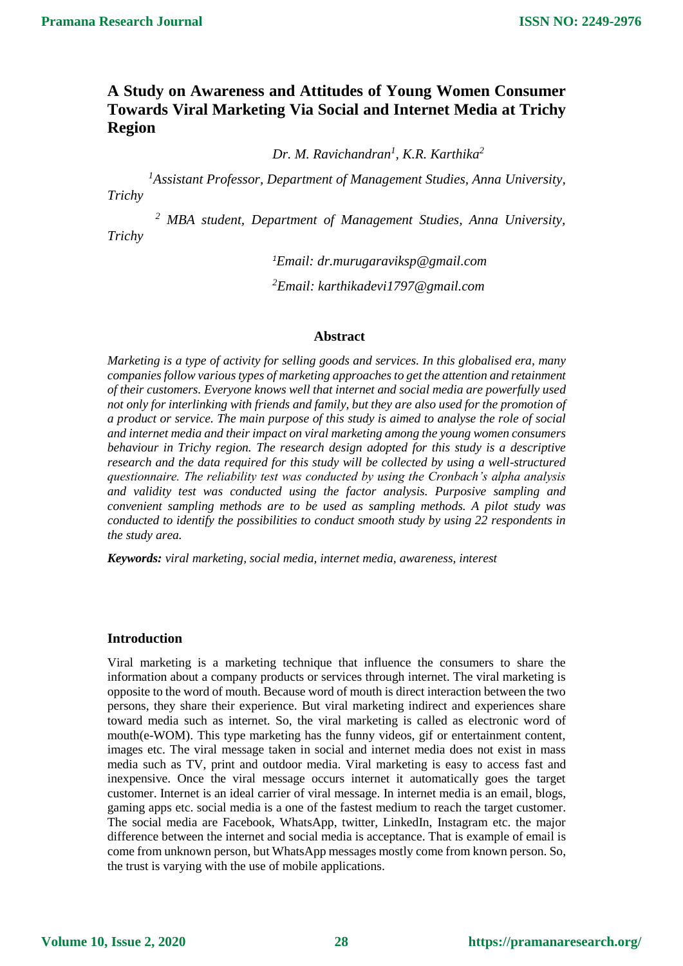# **A Study on Awareness and Attitudes of Young Women Consumer Towards Viral Marketing Via Social and Internet Media at Trichy Region**

*Dr. M. Ravichandran<sup>1</sup> , K.R. Karthika<sup>2</sup>*

*<sup>1</sup>Assistant Professor, Department of Management Studies, Anna University, Trichy*

*<sup>2</sup> MBA student, Department of Management Studies, Anna University, Trichy*

*<sup>1</sup>Email: dr.murugaraviksp@gmail.com*

*<sup>2</sup>Email: karthikadevi1797@gmail.com*

### **Abstract**

*Marketing is a type of activity for selling goods and services. In this globalised era, many companies follow various types of marketing approaches to get the attention and retainment of their customers. Everyone knows well that internet and social media are powerfully used not only for interlinking with friends and family, but they are also used for the promotion of a product or service. The main purpose of this study is aimed to analyse the role of social and internet media and their impact on viral marketing among the young women consumers behaviour in Trichy region. The research design adopted for this study is a descriptive research and the data required for this study will be collected by using a well-structured questionnaire. The reliability test was conducted by using the Cronbach's alpha analysis and validity test was conducted using the factor analysis. Purposive sampling and convenient sampling methods are to be used as sampling methods. A pilot study was conducted to identify the possibilities to conduct smooth study by using 22 respondents in the study area.*

*Keywords: viral marketing, social media, internet media, awareness, interest* 

### **Introduction**

Viral marketing is a marketing technique that influence the consumers to share the information about a company products or services through internet. The viral marketing is opposite to the word of mouth. Because word of mouth is direct interaction between the two persons, they share their experience. But viral marketing indirect and experiences share toward media such as internet. So, the viral marketing is called as electronic word of mouth(e-WOM). This type marketing has the funny videos, gif or entertainment content, images etc. The viral message taken in social and internet media does not exist in mass media such as TV, print and outdoor media. Viral marketing is easy to access fast and inexpensive. Once the viral message occurs internet it automatically goes the target customer. Internet is an ideal carrier of viral message. In internet media is an email, blogs, gaming apps etc. social media is a one of the fastest medium to reach the target customer. The social media are Facebook, WhatsApp, twitter, LinkedIn, Instagram etc. the major difference between the internet and social media is acceptance. That is example of email is come from unknown person, but WhatsApp messages mostly come from known person. So, the trust is varying with the use of mobile applications.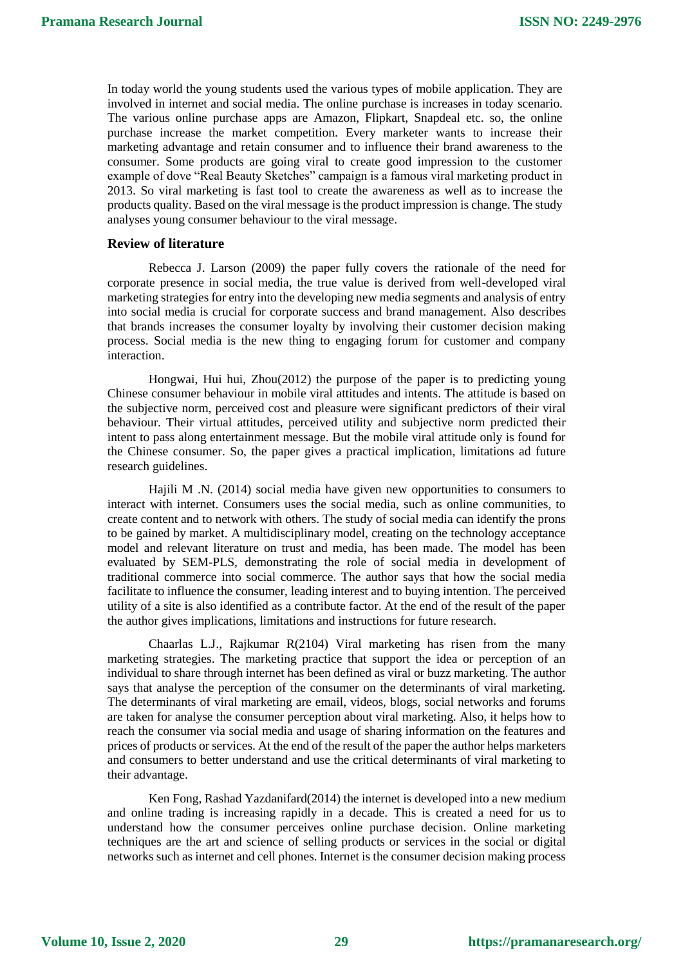In today world the young students used the various types of mobile application. They are involved in internet and social media. The online purchase is increases in today scenario. The various online purchase apps are Amazon, Flipkart, Snapdeal etc. so, the online purchase increase the market competition. Every marketer wants to increase their marketing advantage and retain consumer and to influence their brand awareness to the consumer. Some products are going viral to create good impression to the customer example of dove "Real Beauty Sketches" campaign is a famous viral marketing product in 2013. So viral marketing is fast tool to create the awareness as well as to increase the products quality. Based on the viral message is the product impression is change. The study analyses young consumer behaviour to the viral message.

### **Review of literature**

Rebecca J. Larson (2009) the paper fully covers the rationale of the need for corporate presence in social media, the true value is derived from well-developed viral marketing strategies for entry into the developing new media segments and analysis of entry into social media is crucial for corporate success and brand management. Also describes that brands increases the consumer loyalty by involving their customer decision making process. Social media is the new thing to engaging forum for customer and company interaction.

Hongwai, Hui hui, Zhou(2012) the purpose of the paper is to predicting young Chinese consumer behaviour in mobile viral attitudes and intents. The attitude is based on the subjective norm, perceived cost and pleasure were significant predictors of their viral behaviour. Their virtual attitudes, perceived utility and subjective norm predicted their intent to pass along entertainment message. But the mobile viral attitude only is found for the Chinese consumer. So, the paper gives a practical implication, limitations ad future research guidelines.

Hajili M .N. (2014) social media have given new opportunities to consumers to interact with internet. Consumers uses the social media, such as online communities, to create content and to network with others. The study of social media can identify the prons to be gained by market. A multidisciplinary model, creating on the technology acceptance model and relevant literature on trust and media, has been made. The model has been evaluated by SEM-PLS, demonstrating the role of social media in development of traditional commerce into social commerce. The author says that how the social media facilitate to influence the consumer, leading interest and to buying intention. The perceived utility of a site is also identified as a contribute factor. At the end of the result of the paper the author gives implications, limitations and instructions for future research.

Chaarlas L.J., Rajkumar R(2104) Viral marketing has risen from the many marketing strategies. The marketing practice that support the idea or perception of an individual to share through internet has been defined as viral or buzz marketing. The author says that analyse the perception of the consumer on the determinants of viral marketing. The determinants of viral marketing are email, videos, blogs, social networks and forums are taken for analyse the consumer perception about viral marketing. Also, it helps how to reach the consumer via social media and usage of sharing information on the features and prices of products or services. At the end of the result of the paper the author helps marketers and consumers to better understand and use the critical determinants of viral marketing to their advantage.

Ken Fong, Rashad Yazdanifard(2014) the internet is developed into a new medium and online trading is increasing rapidly in a decade. This is created a need for us to understand how the consumer perceives online purchase decision. Online marketing techniques are the art and science of selling products or services in the social or digital networks such as internet and cell phones. Internet is the consumer decision making process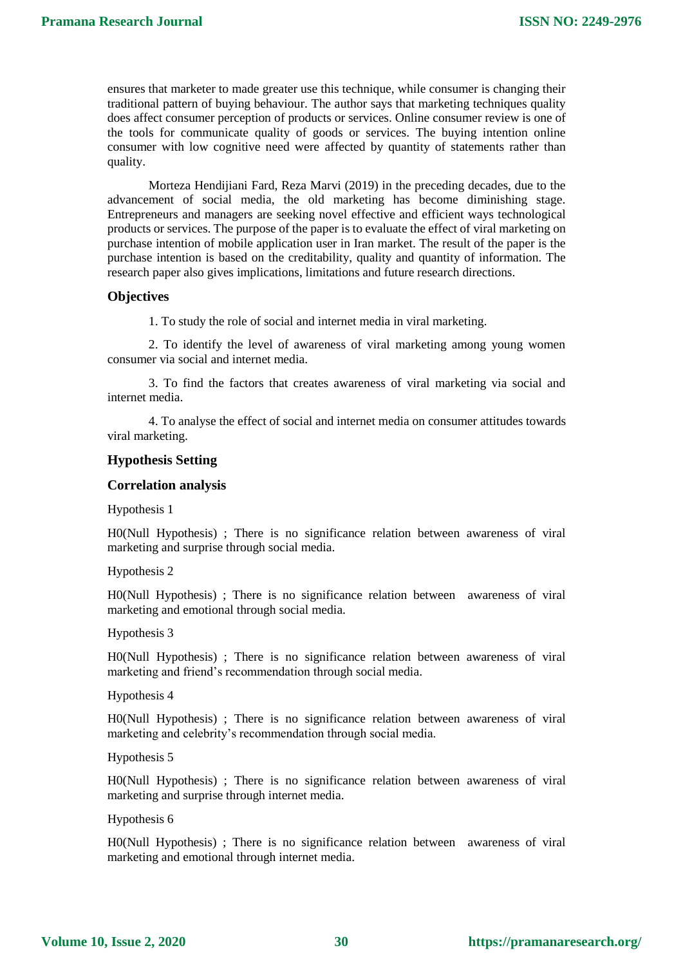ensures that marketer to made greater use this technique, while consumer is changing their traditional pattern of buying behaviour. The author says that marketing techniques quality does affect consumer perception of products or services. Online consumer review is one of the tools for communicate quality of goods or services. The buying intention online consumer with low cognitive need were affected by quantity of statements rather than quality.

Morteza Hendijiani Fard, Reza Marvi (2019) in the preceding decades, due to the advancement of social media, the old marketing has become diminishing stage. Entrepreneurs and managers are seeking novel effective and efficient ways technological products or services. The purpose of the paper is to evaluate the effect of viral marketing on purchase intention of mobile application user in Iran market. The result of the paper is the purchase intention is based on the creditability, quality and quantity of information. The research paper also gives implications, limitations and future research directions.

### **Objectives**

1. To study the role of social and internet media in viral marketing.

2. To identify the level of awareness of viral marketing among young women consumer via social and internet media.

3. To find the factors that creates awareness of viral marketing via social and internet media.

4. To analyse the effect of social and internet media on consumer attitudes towards viral marketing.

#### **Hypothesis Setting**

#### **Correlation analysis**

Hypothesis 1

H0(Null Hypothesis) ; There is no significance relation between awareness of viral marketing and surprise through social media.

Hypothesis 2

H0(Null Hypothesis) ; There is no significance relation between awareness of viral marketing and emotional through social media.

Hypothesis 3

H0(Null Hypothesis) ; There is no significance relation between awareness of viral marketing and friend's recommendation through social media.

Hypothesis 4

H0(Null Hypothesis) ; There is no significance relation between awareness of viral marketing and celebrity's recommendation through social media.

Hypothesis 5

H0(Null Hypothesis) ; There is no significance relation between awareness of viral marketing and surprise through internet media.

Hypothesis 6

H0(Null Hypothesis) ; There is no significance relation between awareness of viral marketing and emotional through internet media.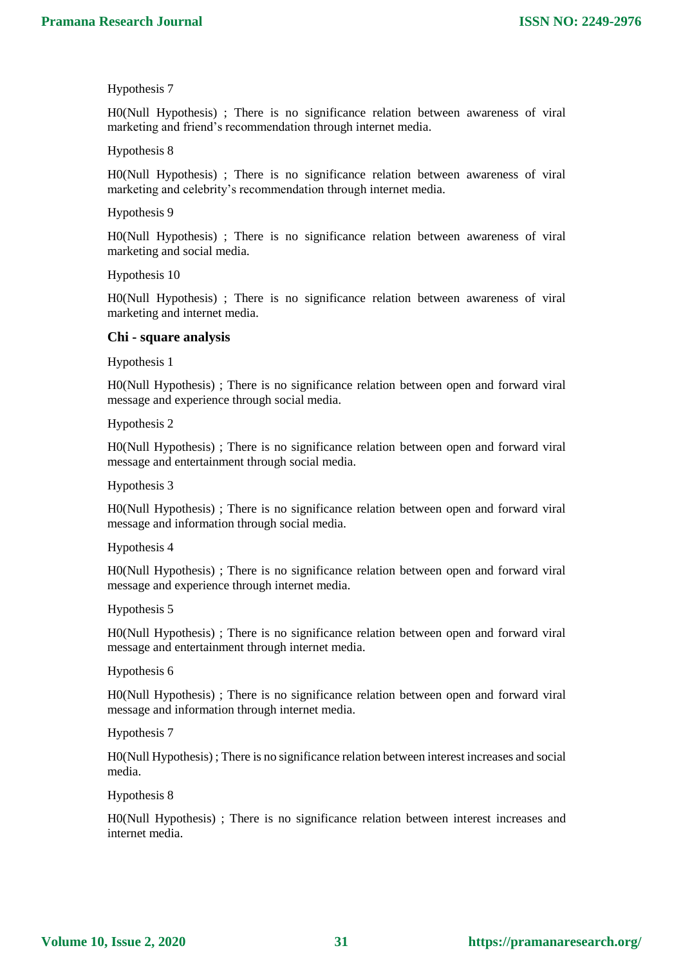H0(Null Hypothesis) ; There is no significance relation between awareness of viral marketing and friend's recommendation through internet media.

#### Hypothesis 8

H0(Null Hypothesis) ; There is no significance relation between awareness of viral marketing and celebrity's recommendation through internet media.

#### Hypothesis 9

H0(Null Hypothesis) ; There is no significance relation between awareness of viral marketing and social media.

Hypothesis 10

H0(Null Hypothesis) ; There is no significance relation between awareness of viral marketing and internet media.

#### **Chi - square analysis**

Hypothesis 1

H0(Null Hypothesis) ; There is no significance relation between open and forward viral message and experience through social media.

Hypothesis 2

H0(Null Hypothesis) ; There is no significance relation between open and forward viral message and entertainment through social media.

Hypothesis 3

H0(Null Hypothesis) ; There is no significance relation between open and forward viral message and information through social media.

Hypothesis 4

H0(Null Hypothesis) ; There is no significance relation between open and forward viral message and experience through internet media.

Hypothesis 5

H0(Null Hypothesis) ; There is no significance relation between open and forward viral message and entertainment through internet media.

Hypothesis 6

H0(Null Hypothesis) ; There is no significance relation between open and forward viral message and information through internet media.

Hypothesis 7

H0(Null Hypothesis) ; There is no significance relation between interest increases and social media.

Hypothesis 8

H0(Null Hypothesis) ; There is no significance relation between interest increases and internet media.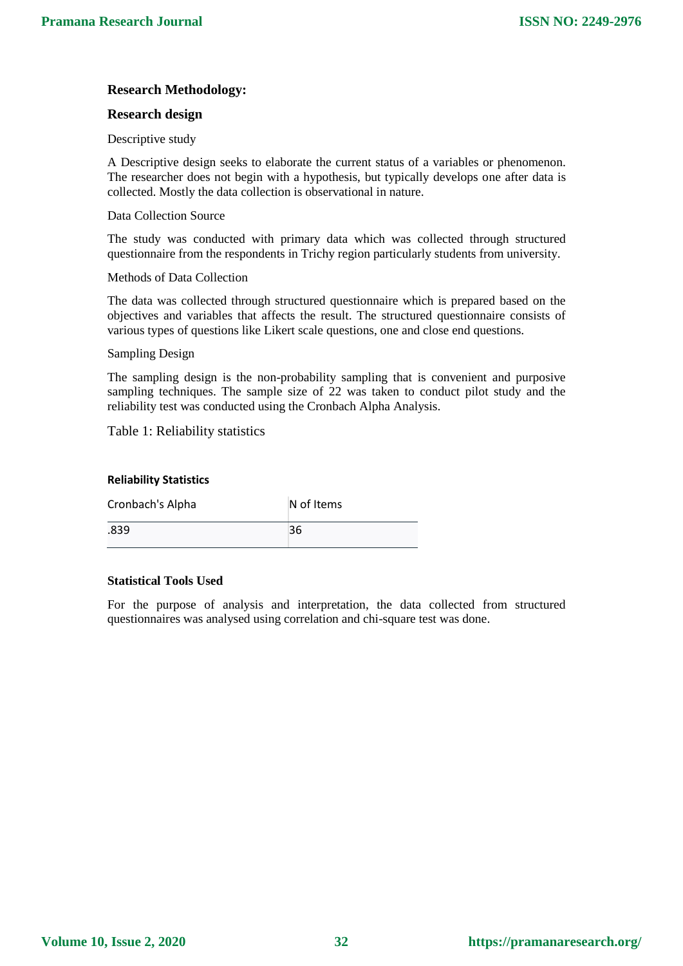# **Research Methodology:**

### **Research design**

Descriptive study

A Descriptive design seeks to elaborate the current status of a variables or phenomenon. The researcher does not begin with a hypothesis, but typically develops one after data is collected. Mostly the data collection is observational in nature.

### Data Collection Source

The study was conducted with primary data which was collected through structured questionnaire from the respondents in Trichy region particularly students from university.

### Methods of Data Collection

The data was collected through structured questionnaire which is prepared based on the objectives and variables that affects the result. The structured questionnaire consists of various types of questions like Likert scale questions, one and close end questions.

### Sampling Design

The sampling design is the non-probability sampling that is convenient and purposive sampling techniques. The sample size of 22 was taken to conduct pilot study and the reliability test was conducted using the Cronbach Alpha Analysis.

Table 1: Reliability statistics

### **Reliability Statistics**

| Cronbach's Alpha | N of Items |
|------------------|------------|
| .839             | 36         |

### **Statistical Tools Used**

For the purpose of analysis and interpretation, the data collected from structured questionnaires was analysed using correlation and chi-square test was done.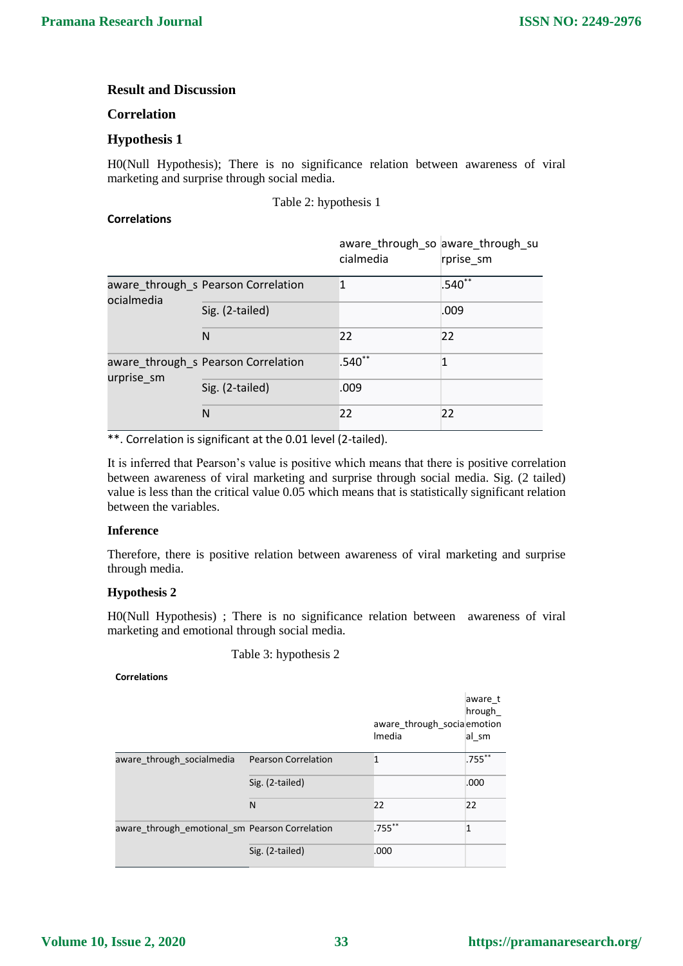# **Result and Discussion**

### **Correlation**

# **Hypothesis 1**

H0(Null Hypothesis); There is no significance relation between awareness of viral marketing and surprise through social media.

Table 2: hypothesis 1

### **Correlations**

|            |                                     | aware_through_so aware_through_su<br>cialmedia | rprise sm |
|------------|-------------------------------------|------------------------------------------------|-----------|
| ocialmedia | aware_through_s Pearson Correlation |                                                | $.540**$  |
|            | Sig. (2-tailed)                     |                                                | .009      |
|            | N                                   | 22                                             | 22        |
| urprise_sm | aware_through_s Pearson Correlation | $.540**$                                       |           |
|            | Sig. (2-tailed)                     | .009                                           |           |
|            | N                                   | 22                                             | 22        |

\*\*. Correlation is significant at the 0.01 level (2-tailed).

It is inferred that Pearson's value is positive which means that there is positive correlation between awareness of viral marketing and surprise through social media. Sig. (2 tailed) value is less than the critical value 0.05 which means that is statistically significant relation between the variables.

#### **Inference**

Therefore, there is positive relation between awareness of viral marketing and surprise through media.

### **Hypothesis 2**

H0(Null Hypothesis) ; There is no significance relation between awareness of viral marketing and emotional through social media.

Table 3: hypothesis 2

#### **Correlations**

|                                                |                            | aware_through_socia emotion<br>Imedia | aware t<br>hrough<br>al sm |
|------------------------------------------------|----------------------------|---------------------------------------|----------------------------|
| aware through socialmedia                      | <b>Pearson Correlation</b> | 1                                     | $.755***$                  |
|                                                | Sig. (2-tailed)            |                                       | .000                       |
|                                                | N                          | 22                                    | 22                         |
| aware through emotional sm Pearson Correlation |                            | $.755***$                             | $\mathbf{1}$               |
|                                                | Sig. (2-tailed)            | .000                                  |                            |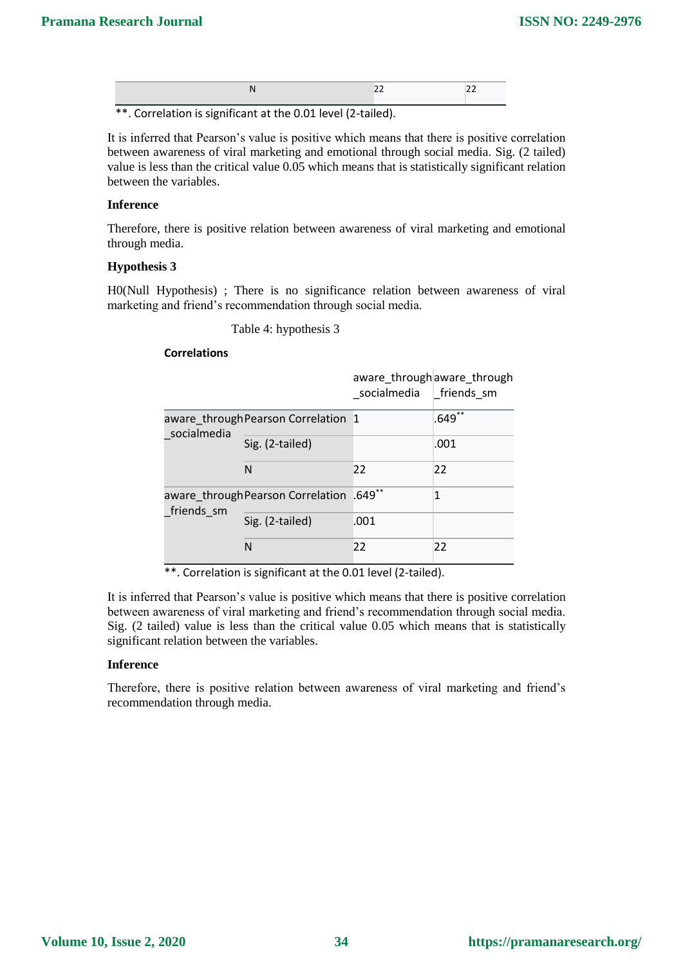\*\*. Correlation is significant at the 0.01 level (2-tailed).

It is inferred that Pearson's value is positive which means that there is positive correlation between awareness of viral marketing and emotional through social media. Sig. (2 tailed) value is less than the critical value 0.05 which means that is statistically significant relation between the variables.

### **Inference**

Therefore, there is positive relation between awareness of viral marketing and emotional through media.

### **Hypothesis 3**

H0(Null Hypothesis) ; There is no significance relation between awareness of viral marketing and friend's recommendation through social media.

Table 4: hypothesis 3

### **Correlations**

|                                                |                                     | socialmedia   friends sm | aware_through aware_through |
|------------------------------------------------|-------------------------------------|--------------------------|-----------------------------|
| socialmedia                                    | aware through Pearson Correlation 1 |                          | $.649**$                    |
|                                                | Sig. (2-tailed)                     |                          | .001                        |
|                                                | N                                   | 22                       | 22                          |
| aware_throughPearson Correlation<br>friends sm |                                     | $.649**$                 | 1                           |
|                                                | Sig. (2-tailed)                     | .001                     |                             |
|                                                | N                                   | 22                       | 22                          |

\*\*. Correlation is significant at the 0.01 level (2-tailed).

It is inferred that Pearson's value is positive which means that there is positive correlation between awareness of viral marketing and friend's recommendation through social media. Sig. (2 tailed) value is less than the critical value 0.05 which means that is statistically significant relation between the variables.

### **Inference**

Therefore, there is positive relation between awareness of viral marketing and friend's recommendation through media.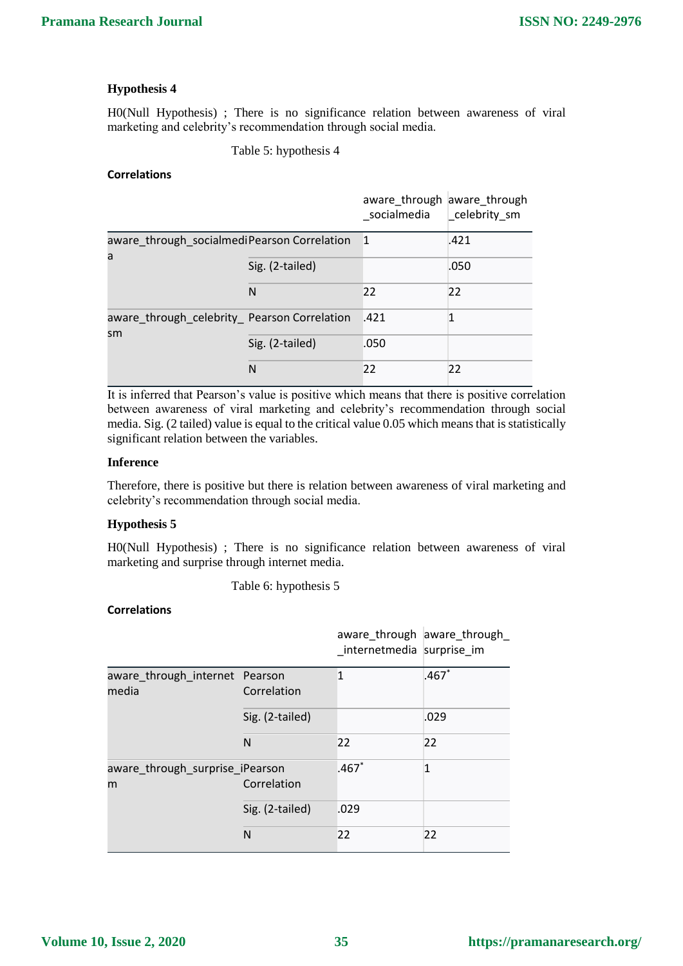H0(Null Hypothesis) ; There is no significance relation between awareness of viral marketing and celebrity's recommendation through social media.

Table 5: hypothesis 4

### **Correlations**

|                                                    |                 | aware_through aware_through<br>socialmedia | celebrity_sm |
|----------------------------------------------------|-----------------|--------------------------------------------|--------------|
| aware_through_socialmediPearson Correlation        |                 | $\mathbf{1}$                               | .421         |
| a                                                  | Sig. (2-tailed) |                                            | .050         |
|                                                    | N               | 22                                         | 22           |
| aware_through_celebrity_ Pearson Correlation<br>sm |                 | .421                                       |              |
|                                                    | Sig. (2-tailed) | .050                                       |              |
|                                                    | N               | 22                                         | 22           |

It is inferred that Pearson's value is positive which means that there is positive correlation between awareness of viral marketing and celebrity's recommendation through social media. Sig. (2 tailed) value is equal to the critical value 0.05 which means that is statistically significant relation between the variables.

### **Inference**

Therefore, there is positive but there is relation between awareness of viral marketing and celebrity's recommendation through social media.

### **Hypothesis 5**

H0(Null Hypothesis) ; There is no significance relation between awareness of viral marketing and surprise through internet media.

Table 6: hypothesis 5

### **Correlations**

|                                         |                 | aware_through aware_through<br>internetmedia surprise im |         |
|-----------------------------------------|-----------------|----------------------------------------------------------|---------|
| aware_through_internet Pearson<br>media | Correlation     | 1                                                        | $.467*$ |
|                                         | Sig. (2-tailed) |                                                          | .029    |
|                                         | N               | 22                                                       | 22      |
| aware_through_surprise_iPearson<br>m    | Correlation     | $.467*$                                                  | 1       |
|                                         | Sig. (2-tailed) | .029                                                     |         |
|                                         | N               | 22                                                       | 22      |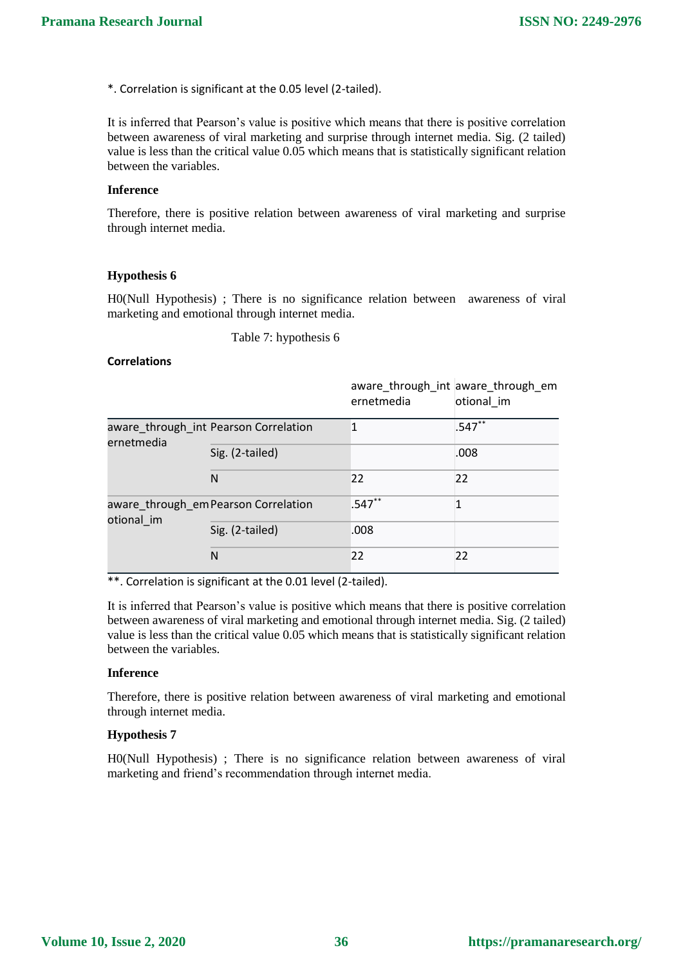\*. Correlation is significant at the 0.05 level (2-tailed).

It is inferred that Pearson's value is positive which means that there is positive correlation between awareness of viral marketing and surprise through internet media. Sig. (2 tailed) value is less than the critical value 0.05 which means that is statistically significant relation between the variables.

### **Inference**

Therefore, there is positive relation between awareness of viral marketing and surprise through internet media.

### **Hypothesis 6**

H0(Null Hypothesis) ; There is no significance relation between awareness of viral marketing and emotional through internet media.

Table 7: hypothesis 6

### **Correlations**

|                                       |                                      | ernetmedia | aware_through_int aware_through_em<br>otional im |
|---------------------------------------|--------------------------------------|------------|--------------------------------------------------|
| aware_through_int Pearson Correlation |                                      | 1          | $.547**$                                         |
| ernetmedia                            | Sig. (2-tailed)                      |            | .008                                             |
|                                       | N                                    | 22         | 22                                               |
| otional im                            | aware_through_em Pearson Correlation | $.547**$   | 1                                                |
|                                       | Sig. (2-tailed)                      | .008       |                                                  |
|                                       | N                                    | 22         | 22                                               |

\*\*. Correlation is significant at the 0.01 level (2-tailed).

It is inferred that Pearson's value is positive which means that there is positive correlation between awareness of viral marketing and emotional through internet media. Sig. (2 tailed) value is less than the critical value 0.05 which means that is statistically significant relation between the variables.

#### **Inference**

Therefore, there is positive relation between awareness of viral marketing and emotional through internet media.

### **Hypothesis 7**

H0(Null Hypothesis) ; There is no significance relation between awareness of viral marketing and friend's recommendation through internet media.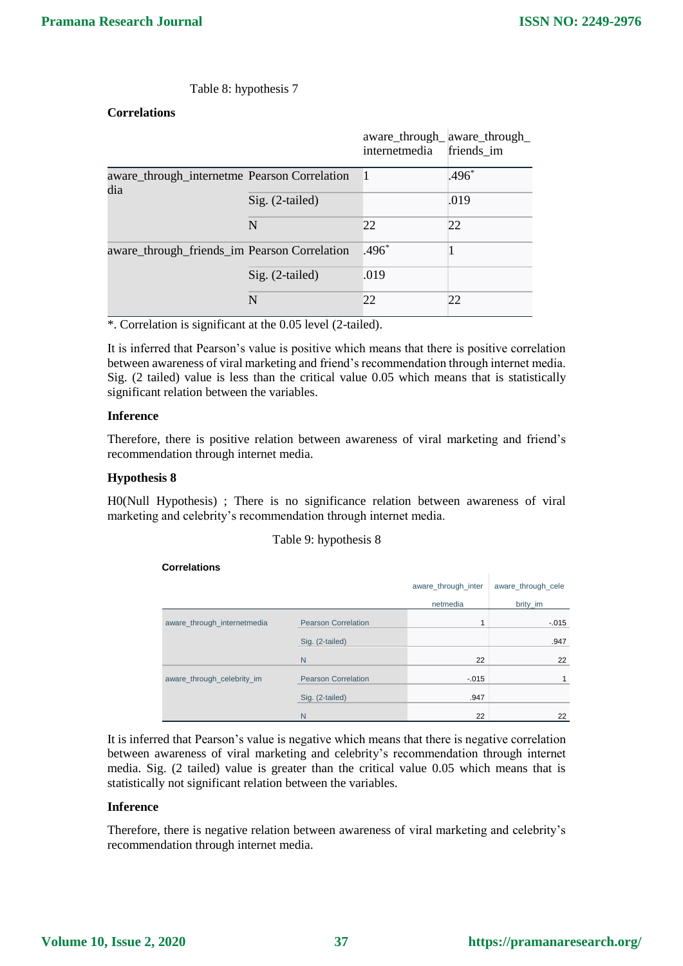### Table 8: hypothesis 7

# **Correlations**

|                                                     |                   | aware_through_aware_through_<br>internetmedia | friends im |
|-----------------------------------------------------|-------------------|-----------------------------------------------|------------|
| aware_through_internetme_Pearson Correlation<br>dia |                   |                                               | $.496*$    |
|                                                     | $Sig. (2-tailed)$ |                                               | .019       |
|                                                     | N                 | 22                                            | 22         |
| aware_through_friends_im Pearson Correlation        |                   | $.496*$                                       |            |
|                                                     | Sig. (2-tailed)   | .019                                          |            |
|                                                     | N                 | 22                                            | 22         |

\*. Correlation is significant at the 0.05 level (2-tailed).

It is inferred that Pearson's value is positive which means that there is positive correlation between awareness of viral marketing and friend's recommendation through internet media. Sig. (2 tailed) value is less than the critical value 0.05 which means that is statistically significant relation between the variables.

#### **Inference**

Therefore, there is positive relation between awareness of viral marketing and friend's recommendation through internet media.

### **Hypothesis 8**

H0(Null Hypothesis) ; There is no significance relation between awareness of viral marketing and celebrity's recommendation through internet media.

#### Table 9: hypothesis 8

#### **Correlations**

|                             |                            | aware through inter | aware through cele |
|-----------------------------|----------------------------|---------------------|--------------------|
|                             |                            | netmedia            | brity_im           |
| aware_through_internetmedia | <b>Pearson Correlation</b> | 1                   | $-0.015$           |
|                             | Sig. (2-tailed)            |                     | .947               |
|                             | N                          | 22                  | 22                 |
| aware_through_celebrity_im  | <b>Pearson Correlation</b> | $-.015$             |                    |
|                             | Sig. (2-tailed)            | .947                |                    |
|                             | N                          | 22                  | 22                 |

It is inferred that Pearson's value is negative which means that there is negative correlation between awareness of viral marketing and celebrity's recommendation through internet media. Sig. (2 tailed) value is greater than the critical value 0.05 which means that is statistically not significant relation between the variables.

#### **Inference**

Therefore, there is negative relation between awareness of viral marketing and celebrity's recommendation through internet media.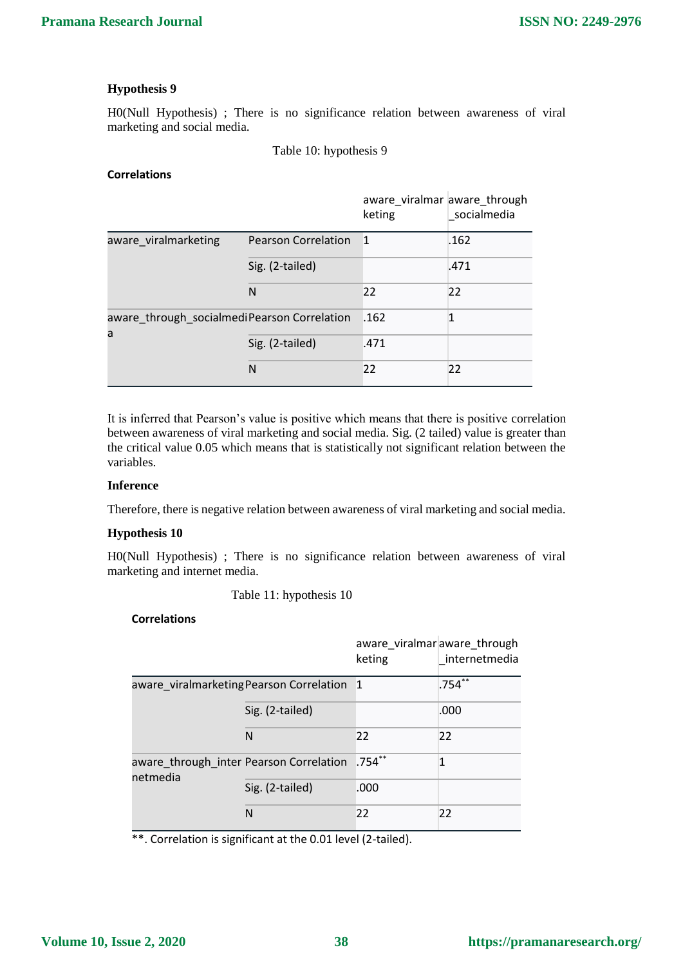H0(Null Hypothesis) ; There is no significance relation between awareness of viral marketing and social media.

Table 10: hypothesis 9

### **Correlations**

|                                                  |                            | aware_viralmar aware_through<br>keting | socialmedia |
|--------------------------------------------------|----------------------------|----------------------------------------|-------------|
| aware viralmarketing                             | <b>Pearson Correlation</b> | $\mathbf{1}$                           | .162        |
|                                                  | Sig. (2-tailed)            |                                        | .471        |
|                                                  | N                          | 22                                     | 22          |
| aware_through_socialmediPearson Correlation<br>a |                            | .162                                   | 1           |
|                                                  | Sig. (2-tailed)            | .471                                   |             |
|                                                  | N                          | 22                                     | 22          |

It is inferred that Pearson's value is positive which means that there is positive correlation between awareness of viral marketing and social media. Sig. (2 tailed) value is greater than the critical value 0.05 which means that is statistically not significant relation between the variables.

#### **Inference**

Therefore, there is negative relation between awareness of viral marketing and social media.

### **Hypothesis 10**

H0(Null Hypothesis) ; There is no significance relation between awareness of viral marketing and internet media.

Table 11: hypothesis 10

#### **Correlations**

|                                                            |                 | aware viralmar aware through<br>keting | internetmedia |
|------------------------------------------------------------|-----------------|----------------------------------------|---------------|
| aware viralmarketing Pearson Correlation 1                 |                 |                                        | $.754**$      |
|                                                            | Sig. (2-tailed) |                                        | .000          |
|                                                            | N               | 22                                     | 22            |
| aware_through_inter Pearson Correlation .754**<br>netmedia |                 |                                        | 1             |
|                                                            | Sig. (2-tailed) | .000                                   |               |
|                                                            | N               | 22                                     | 22            |

\*\*. Correlation is significant at the 0.01 level (2-tailed).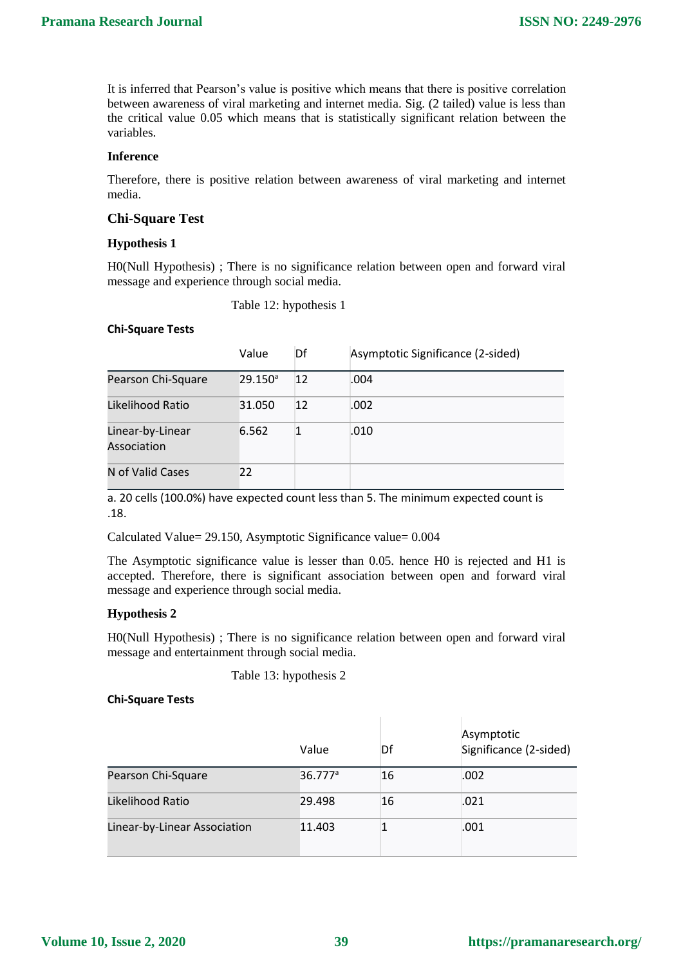It is inferred that Pearson's value is positive which means that there is positive correlation between awareness of viral marketing and internet media. Sig. (2 tailed) value is less than the critical value 0.05 which means that is statistically significant relation between the variables.

### **Inference**

Therefore, there is positive relation between awareness of viral marketing and internet media.

### **Chi-Square Test**

#### **Hypothesis 1**

H0(Null Hypothesis) ; There is no significance relation between open and forward viral message and experience through social media.

Table 12: hypothesis 1

#### **Chi-Square Tests**

|                                 | Value      | Df | Asymptotic Significance (2-sided) |
|---------------------------------|------------|----|-----------------------------------|
| Pearson Chi-Square              | $29.150^a$ | 12 | .004                              |
| Likelihood Ratio                | 31.050     | 12 | .002                              |
| Linear-by-Linear<br>Association | 6.562      |    | .010                              |
| N of Valid Cases                | 22         |    |                                   |

a. 20 cells (100.0%) have expected count less than 5. The minimum expected count is .18.

Calculated Value= 29.150, Asymptotic Significance value= 0.004

The Asymptotic significance value is lesser than 0.05. hence H0 is rejected and H1 is accepted. Therefore, there is significant association between open and forward viral message and experience through social media.

#### **Hypothesis 2**

H0(Null Hypothesis) ; There is no significance relation between open and forward viral message and entertainment through social media.

Table 13: hypothesis 2

#### **Chi-Square Tests**

|                              | Value               | Df | Asymptotic<br>Significance (2-sided) |
|------------------------------|---------------------|----|--------------------------------------|
| Pearson Chi-Square           | 36.777 <sup>a</sup> | 16 | .002                                 |
| Likelihood Ratio             | 29.498              | 16 | .021                                 |
| Linear-by-Linear Association | 11.403              |    | .001                                 |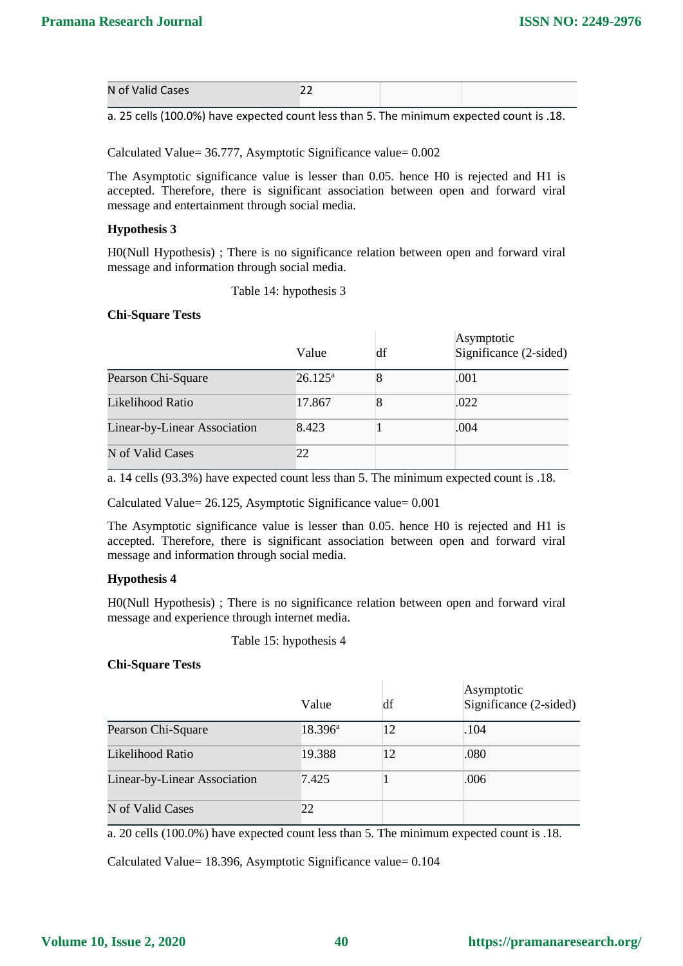| N of Valid Cases | -- |  |
|------------------|----|--|
|                  |    |  |

a. 25 cells (100.0%) have expected count less than 5. The minimum expected count is .18.

Calculated Value= 36.777, Asymptotic Significance value= 0.002

The Asymptotic significance value is lesser than 0.05. hence H0 is rejected and H1 is accepted. Therefore, there is significant association between open and forward viral message and entertainment through social media.

### **Hypothesis 3**

H0(Null Hypothesis) ; There is no significance relation between open and forward viral message and information through social media.

Table 14: hypothesis 3

#### **Chi-Square Tests**

|                              | Value            | df | Asymptotic<br>Significance (2-sided) |
|------------------------------|------------------|----|--------------------------------------|
| Pearson Chi-Square           | $26.125^{\rm a}$ | 8  | .001                                 |
| Likelihood Ratio             | 17.867           |    | .022                                 |
| Linear-by-Linear Association | 8.423            |    | .004                                 |
| N of Valid Cases             | 22               |    |                                      |

a. 14 cells (93.3%) have expected count less than 5. The minimum expected count is .18.

Calculated Value= 26.125, Asymptotic Significance value= 0.001

The Asymptotic significance value is lesser than 0.05. hence H0 is rejected and H1 is accepted. Therefore, there is significant association between open and forward viral message and information through social media.

### **Hypothesis 4**

H0(Null Hypothesis) ; There is no significance relation between open and forward viral message and experience through internet media.

Table 15: hypothesis 4

### **Chi-Square Tests**

|                              | Value            | df | Asymptotic<br>Significance (2-sided) |
|------------------------------|------------------|----|--------------------------------------|
| Pearson Chi-Square           | $18.396^{\rm a}$ | 12 | .104                                 |
| Likelihood Ratio             | 19.388           | 12 | .080                                 |
| Linear-by-Linear Association | 7.425            |    | .006                                 |
| N of Valid Cases             | 22               |    |                                      |

a. 20 cells (100.0%) have expected count less than 5. The minimum expected count is .18.

Calculated Value= 18.396, Asymptotic Significance value= 0.104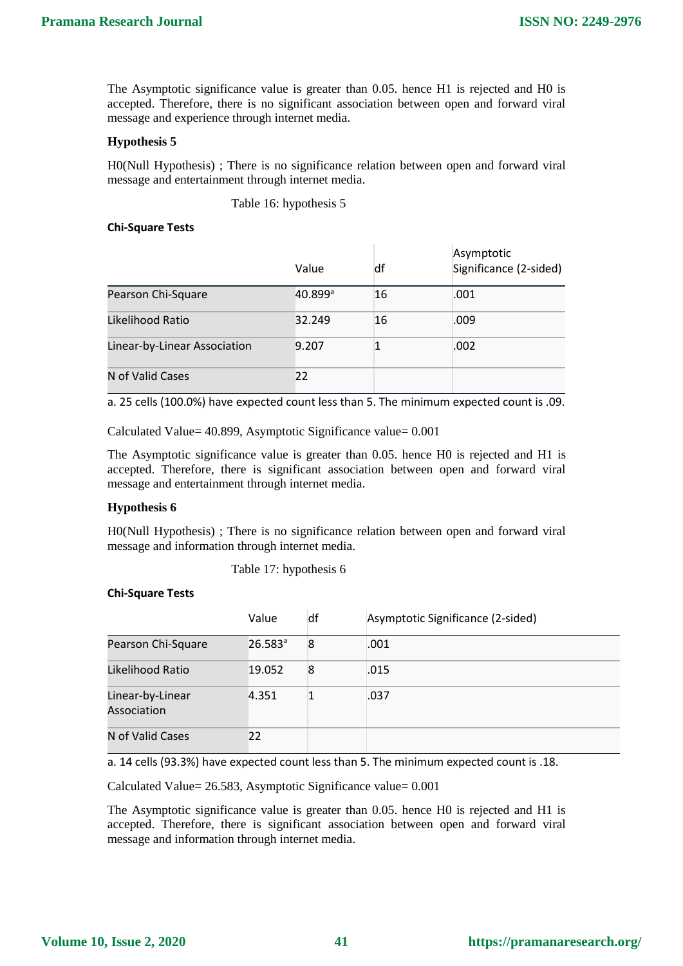The Asymptotic significance value is greater than 0.05. hence H1 is rejected and H0 is accepted. Therefore, there is no significant association between open and forward viral message and experience through internet media.

### **Hypothesis 5**

H0(Null Hypothesis) ; There is no significance relation between open and forward viral message and entertainment through internet media.

Table 16: hypothesis 5

#### **Chi-Square Tests**

|                              | Value                 | df | Asymptotic<br>Significance (2-sided) |
|------------------------------|-----------------------|----|--------------------------------------|
| Pearson Chi-Square           | $40.899$ <sup>a</sup> | 16 | .001                                 |
| Likelihood Ratio             | 32.249                | 16 | .009                                 |
| Linear-by-Linear Association | 9.207                 |    | .002                                 |
| N of Valid Cases             | 22                    |    |                                      |

a. 25 cells (100.0%) have expected count less than 5. The minimum expected count is .09.

Calculated Value= 40.899, Asymptotic Significance value= 0.001

The Asymptotic significance value is greater than 0.05. hence H0 is rejected and H1 is accepted. Therefore, there is significant association between open and forward viral message and entertainment through internet media.

#### **Hypothesis 6**

H0(Null Hypothesis) ; There is no significance relation between open and forward viral message and information through internet media.

Table 17: hypothesis 6

#### **Chi-Square Tests**

|                                 | Value                 | df | Asymptotic Significance (2-sided) |
|---------------------------------|-----------------------|----|-----------------------------------|
| Pearson Chi-Square              | $26.583$ <sup>a</sup> | 8  | .001                              |
| Likelihood Ratio                | 19.052                | 8  | .015                              |
| Linear-by-Linear<br>Association | 4.351                 |    | .037                              |
| N of Valid Cases                | 22                    |    |                                   |

a. 14 cells (93.3%) have expected count less than 5. The minimum expected count is .18.

Calculated Value= 26.583, Asymptotic Significance value= 0.001

The Asymptotic significance value is greater than 0.05. hence H0 is rejected and H1 is accepted. Therefore, there is significant association between open and forward viral message and information through internet media.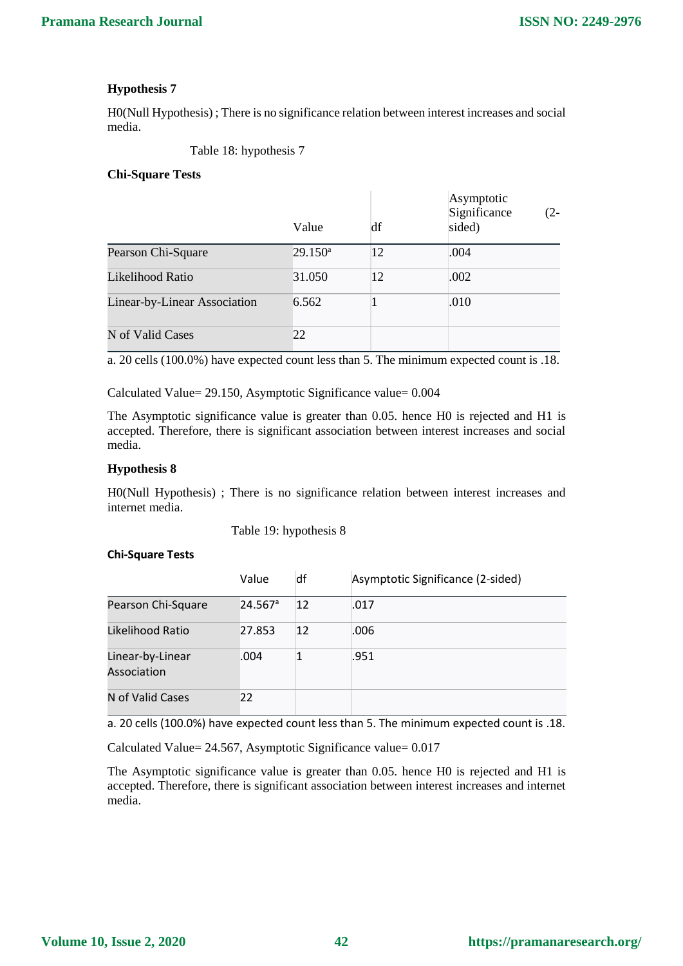H0(Null Hypothesis) ; There is no significance relation between interest increases and social media.

Table 18: hypothesis 7

### **Chi-Square Tests**

|                              | Value      | df | Asymptotic<br>Significance<br>$(2 -$<br>sided) |
|------------------------------|------------|----|------------------------------------------------|
| Pearson Chi-Square           | $29.150^a$ | 12 | .004                                           |
| Likelihood Ratio             | 31.050     | 12 | .002                                           |
| Linear-by-Linear Association | 6.562      |    | .010                                           |
| N of Valid Cases             | 22         |    |                                                |

a. 20 cells (100.0%) have expected count less than 5. The minimum expected count is .18.

Calculated Value= 29.150, Asymptotic Significance value= 0.004

The Asymptotic significance value is greater than 0.05. hence H0 is rejected and H1 is accepted. Therefore, there is significant association between interest increases and social media.

### **Hypothesis 8**

H0(Null Hypothesis) ; There is no significance relation between interest increases and internet media.

Table 19: hypothesis 8

#### **Chi-Square Tests**

|                                 | Value                 | df | Asymptotic Significance (2-sided) |
|---------------------------------|-----------------------|----|-----------------------------------|
| Pearson Chi-Square              | $24.567$ <sup>a</sup> | 12 | .017                              |
| Likelihood Ratio                | 27.853                | 12 | .006                              |
| Linear-by-Linear<br>Association | .004                  |    | .951                              |
| N of Valid Cases                | 22                    |    |                                   |

a. 20 cells (100.0%) have expected count less than 5. The minimum expected count is .18.

Calculated Value= 24.567, Asymptotic Significance value= 0.017

The Asymptotic significance value is greater than 0.05. hence H0 is rejected and H1 is accepted. Therefore, there is significant association between interest increases and internet media.